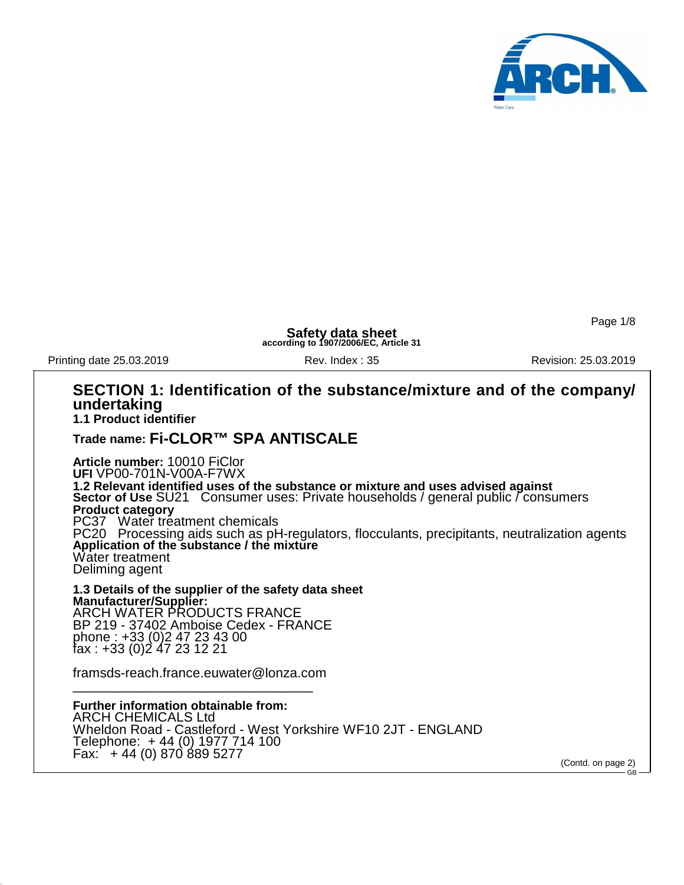

Page 1/8

**Safety data sheet according to 1907/2006/EC, Article 31**

Printing date 25.03.2019 **Revision: 25.03.2019** Rev. Index : 35 **Revision: 25.03.2019** 

#### **SECTION 1: Identification of the substance/mixture and of the company/ undertaking 1.1 Product identifier**

**Trade name: Fi-CLOR™ SPA ANTISCALE**

**Article number:** 10010 FiClor **UFI** VP00-701N-V00A-F7WX **1.2 Relevant identified uses of the substance or mixture and uses advised against Sector of Use** SU21 Consumer uses: Private households / general public / consumers **Product category** PC37 Water treatment chemicals PC20 Processing aids such as pH-regulators, flocculants, precipitants, neutralization agents **Application of the substance / the mixture** Water treatment Deliming agent

**1.3 Details of the supplier of the safety data sheet Manufacturer/Supplier:** ARCH WATER PRODUCTS FRANCE BP 219 - 37402 Amboise Cedex - FRANCE phone : +33 (0)2 47 23 43 00 fax : +33 (0)2 47 23 12 21

framsds-reach.france.euwater@lonza.com \_\_\_\_\_\_\_\_\_\_\_\_\_\_\_\_\_\_\_\_\_\_\_\_\_\_\_\_\_\_\_\_

**Further information obtainable from:** ARCH CHEMICALS Ltd Wheldon Road - Castleford - West Yorkshire WF10 2JT - ENGLAND Telephone: + 44 (0) 1977 714 100 Fax: + 44 (0) 870 889 5277

(Contd. on page 2) GB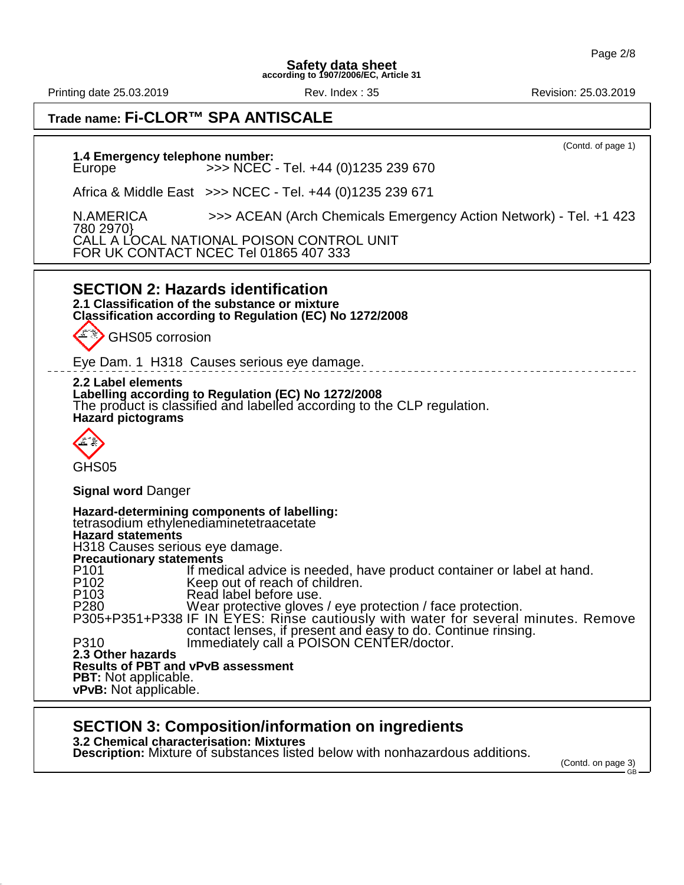Printing date 25.03.2019 **Rev. Index : 35** Rev. Index : 35 Revision: 25.03.2019

| Trade name: Fi-CLOR™ SPA ANTISCALE                                                                                                                                                                                                                                                                                                                                                                                                                                                                                                                                                                                                                                                                                                                                                 |  |  |  |
|------------------------------------------------------------------------------------------------------------------------------------------------------------------------------------------------------------------------------------------------------------------------------------------------------------------------------------------------------------------------------------------------------------------------------------------------------------------------------------------------------------------------------------------------------------------------------------------------------------------------------------------------------------------------------------------------------------------------------------------------------------------------------------|--|--|--|
| (Contd. of page 1)<br>1.4 Emergency telephone number:<br>>>> NCEC - Tel. +44 (0)1235 239 670<br>Europe                                                                                                                                                                                                                                                                                                                                                                                                                                                                                                                                                                                                                                                                             |  |  |  |
| Africa & Middle East >>> NCEC - Tel. +44 (0)1235 239 671                                                                                                                                                                                                                                                                                                                                                                                                                                                                                                                                                                                                                                                                                                                           |  |  |  |
| N.AMERICA<br>>>> ACEAN (Arch Chemicals Emergency Action Network) - Tel. +1 423<br>780 2970}                                                                                                                                                                                                                                                                                                                                                                                                                                                                                                                                                                                                                                                                                        |  |  |  |
| CALL A LOCAL NATIONAL POISON CONTROL UNIT<br>FOR UK CONTACT NCEC Tel 01865 407 333                                                                                                                                                                                                                                                                                                                                                                                                                                                                                                                                                                                                                                                                                                 |  |  |  |
| <b>SECTION 2: Hazards identification</b><br>2.1 Classification of the substance or mixture<br>Classification according to Regulation (EC) No 1272/2008<br>GHS05 corrosion<br>Eye Dam. 1 H318 Causes serious eye damage.<br>2.2 Label elements<br>Labelling according to Regulation (EC) No 1272/2008<br>The product is classified and labelled according to the CLP regulation.<br><b>Hazard pictograms</b>                                                                                                                                                                                                                                                                                                                                                                        |  |  |  |
| GHS <sub>05</sub>                                                                                                                                                                                                                                                                                                                                                                                                                                                                                                                                                                                                                                                                                                                                                                  |  |  |  |
| <b>Signal word Danger</b>                                                                                                                                                                                                                                                                                                                                                                                                                                                                                                                                                                                                                                                                                                                                                          |  |  |  |
| Hazard-determining components of labelling:<br>tetrasodium ethylenediaminetetraacetate<br>Hazard statements<br>H318 Causes serious eye damage.<br><b>Precautionary statements</b><br>P <sub>101</sub><br>If medical advice is needed, have product container or label at hand.<br>Keep out of reach of children.<br>P <sub>102</sub><br>P <sub>103</sub><br>Read label before use.<br>P280 Wear protective gloves / eye protection / face protection.<br>P305+P351+P338 IF IN EYES: Rinse cautiously with water for several minutes. Remove<br>contact lenses, if present and easy to do. Continue rinsing.<br>Immediately call a POISON CENTER/doctor.<br>P310<br>2.3 Other hazards<br><b>Results of PBT and vPvB assessment</b><br>PBT: Not applicable.<br>vPvB: Not applicable. |  |  |  |

# **SECTION 3: Composition/information on ingredients**

**3.2 Chemical characterisation: Mixtures**

**Description:** Mixture of substances listed below with nonhazardous additions.

(Contd. on page 3) GB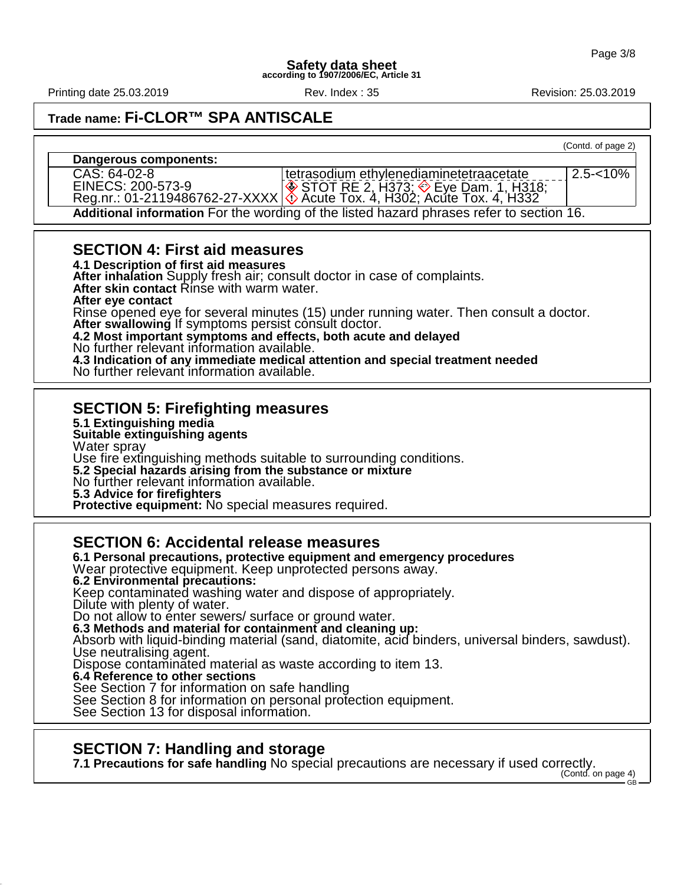Printing date 25.03.2019 **Rev. Index : 35 Revision: 25.03.2019** Revision: 25.03.2019

(Contd. of page 2)

 $2.5 - 10%$ 

**Trade name: Fi-CLOR™ SPA ANTISCALE**

#### **Dangerous components:**

CAS: 64-02-8 EINECS: 200-573-9 Reg.nr.: 01-2119486762-27-XXXX tetrasodium ethylenediaminetetraacetate  $S$ TOT RE 2, H373;  $\Diamond$  Eye Dam. 1, H318; Acute Tox. 4, H302; Acute Tox. 4, H332

**Additional information** For the wording of the listed hazard phrases refer to section 16.

## **SECTION 4: First aid measures**

**4.1 Description of first aid measures**

**After inhalation** Supply fresh air; consult doctor in case of complaints. After skin contact Rinse with warm water. **After eye contact**

Rinse opened eye for several minutes (15) under running water. Then consult a doctor.

After swallowing If symptoms persist consult doctor.

**4.2 Most important symptoms and effects, both acute and delayed**

No further relevant information available.

**4.3 Indication of any immediate medical attention and special treatment needed** No further relevant information available.

## **SECTION 5: Firefighting measures**

**5.1 Extinguishing media**

**Suitable extinguishing agents**

Water spray Use fire extinguishing methods suitable to surrounding conditions.

**5.2 Special hazards arising from the substance or mixture**

No further relevant information available.

**5.3 Advice for firefighters**

**Protective equipment:** No special measures required.

## **SECTION 6: Accidental release measures**

**6.1 Personal precautions, protective equipment and emergency procedures** Wear protective equipment. Keep unprotected persons away. **6.2 Environmental precautions:** Keep contaminated washing water and dispose of appropriately. Dilute with plenty of water. Do not allow to enter sewers/ surface or ground water. **6.3 Methods and material for containment and cleaning up:** Absorb with liquid-binding material (sand, diatomite, acid binders, universal binders, sawdust). Use neutralising agent. Dispose contaminated material as waste according to item 13. **6.4 Reference to other sections** See Section 7 for information on safe handling See Section 8 for information on personal protection equipment. See Section 13 for disposal information.

# **SECTION 7: Handling and storage**

**7.1 Precautions for safe handling** No special precautions are necessary if used correctly.

(Contd. on page 4) GB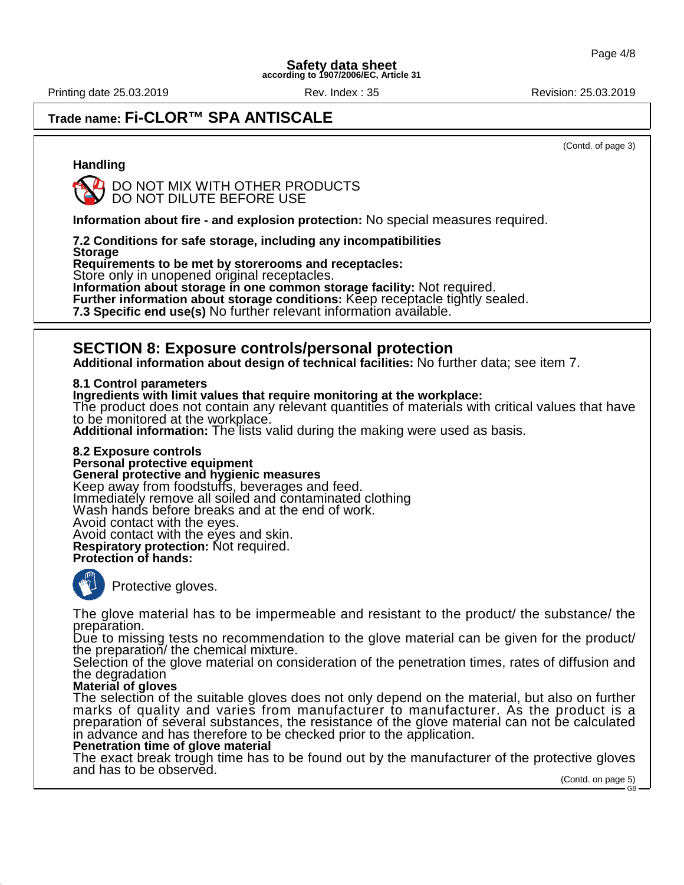Printing date 25.03.2019 **Rev. Index : 35 Revision: 25.03.2019** Revision: 25.03.2019

# **Trade name: Fi-CLOR™ SPA ANTISCALE**

(Contd. of page 3)

### **Handling**



**Information about fire - and explosion protection:** No special measures required.

**7.2 Conditions for safe storage, including any incompatibilities**

**Storage**

**Requirements to be met by storerooms and receptacles:**

Store only in unopened original receptacles.

**Information about storage in one common storage facility:** Not required.

**Further information about storage conditions:** Keep receptacle tightly sealed.

**7.3 Specific end use(s)** No further relevant information available.

## **SECTION 8: Exposure controls/personal protection**

**Additional information about design of technical facilities:** No further data; see item 7.

**8.1 Control parameters**

**Ingredients with limit values that require monitoring at the workplace:**

The product does not contain any relevant quantities of materials with critical values that have to be monitored at the workplace.

**Additional information:** The lists valid during the making were used as basis.

**8.2 Exposure controls Personal protective equipment General protective and hygienic measures** Keep away from foodstuffs, beverages and feed. Immediately remove all soiled and contaminated clothing Wash hands before breaks and at the end of work. Avoid contact with the eyes. Avoid contact with the eyes and skin. **Respiratory protection:** Not required. **Protection of hands:**



Protective gloves.

The glove material has to be impermeable and resistant to the product/ the substance/ the preparation.

Due to missing tests no recommendation to the glove material can be given for the product/ the preparation/ the chemical mixture.

Selection of the glove material on consideration of the penetration times, rates of diffusion and the degradation

### **Material of gloves**

The selection of the suitable gloves does not only depend on the material, but also on further marks of quality and varies from manufacturer to manufacturer. As the product is a preparation of several substances, the resistance of the glove material can not be calculated in advance and has therefore to be checked prior to the application.

#### **Penetration time of glove material**

The exact break trough time has to be found out by the manufacturer of the protective gloves and has to be observed.

(Contd. on page 5) GB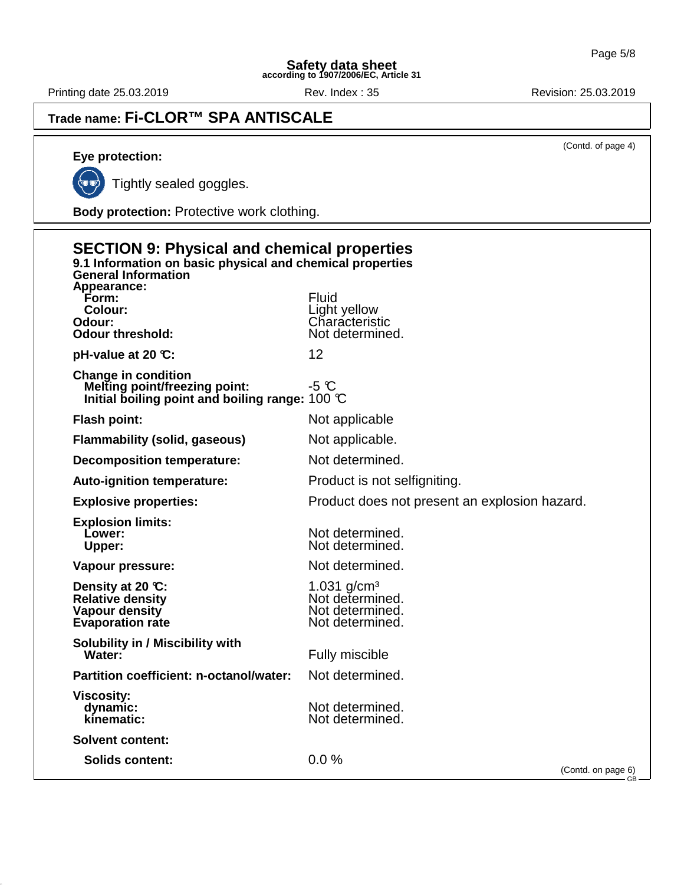Printing date 25.03.2019 **Rev. Index : 35** Rev. Index : 35

# **Trade name: Fi-CLOR™ SPA ANTISCALE**

(Contd. of page 4)

# **Eye protection:**

(≏

Tightly sealed goggles.

**Body protection:** Protective work clothing.

| <b>SECTION 9: Physical and chemical properties</b><br>9.1 Information on basic physical and chemical properties<br><b>General Information</b> |                                                                        |  |
|-----------------------------------------------------------------------------------------------------------------------------------------------|------------------------------------------------------------------------|--|
| Appearance:<br>Form:<br>Colour:<br>Odour:<br><b>Odour threshold:</b>                                                                          | <b>Fluid</b><br>Light yellow<br>Characteristic<br>Not determined.      |  |
| pH-value at 20 $\mathbb{C}$ :                                                                                                                 | 12                                                                     |  |
| <b>Change in condition</b><br><b>Melting point/freezing point:</b><br>Initial boiling point and boiling range: $100 \text{ C}$                | $-5$ $\degree$                                                         |  |
| <b>Flash point:</b>                                                                                                                           | Not applicable                                                         |  |
| <b>Flammability (solid, gaseous)</b>                                                                                                          | Not applicable.                                                        |  |
| <b>Decomposition temperature:</b>                                                                                                             | Not determined.                                                        |  |
| <b>Auto-ignition temperature:</b>                                                                                                             | Product is not selfigniting.                                           |  |
| <b>Explosive properties:</b>                                                                                                                  | Product does not present an explosion hazard.                          |  |
| <b>Explosion limits:</b><br>Lower:<br>Upper:                                                                                                  | Not determined.<br>Not determined.                                     |  |
| Vapour pressure:                                                                                                                              | Not determined.                                                        |  |
| Density at 20 °C:<br><b>Relative density</b><br>Vapour density<br><b>Evaporation rate</b>                                                     | 1.031 $g/cm3$<br>Not determined.<br>Not determined.<br>Not determined. |  |
| Solubility in / Miscibility with<br>Water:                                                                                                    | Fully miscible                                                         |  |
| Partition coefficient: n-octanol/water:                                                                                                       | Not determined.                                                        |  |
| <b>Viscosity:</b><br>dynamic:<br>kinematic:                                                                                                   | Not determined.<br>Not determined.                                     |  |
| <b>Solvent content:</b>                                                                                                                       |                                                                        |  |
| <b>Solids content:</b>                                                                                                                        | 0.0%<br>(Contd. on page 6)                                             |  |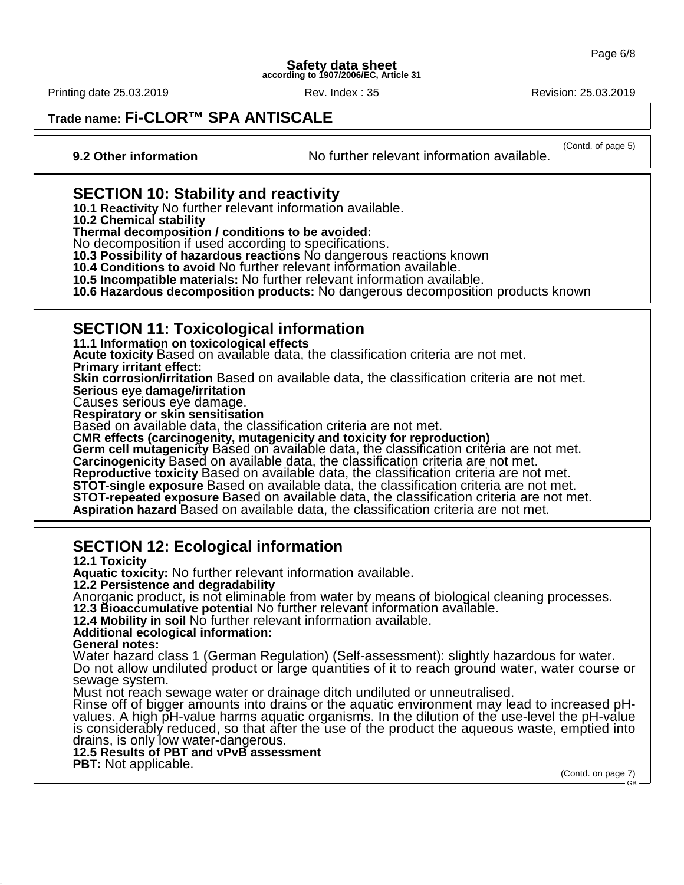Printing date 25.03.2019 **Rev. Index : 35 Revision: 25.03.2019** Revision: 25.03.2019

**Trade name: Fi-CLOR™ SPA ANTISCALE**

(Contd. of page 5) **9.2 Other information** No further relevant information available.

# **SECTION 10: Stability and reactivity**

**10.1 Reactivity** No further relevant information available.

**10.2 Chemical stability**

**Thermal decomposition / conditions to be avoided:**

No decomposition if used according to specifications.

**10.3 Possibility of hazardous reactions** No dangerous reactions known

**10.4 Conditions to avoid** No further relevant information available.

**10.5 Incompatible materials:** No further relevant information available.

**10.6 Hazardous decomposition products:** No dangerous decomposition products known

# **SECTION 11: Toxicological information**

**11.1 Information on toxicological effects**

**Acute toxicity** Based on available data, the classification criteria are not met.

**Primary irritant effect:**

**Skin corrosion/irritation** Based on available data, the classification criteria are not met.

**Serious eye damage/irritation**

Causes serious eye damage.

**Respiratory or skin sensitisation**

Based on available data, the classification criteria are not met.

**CMR effects (carcinogenity, mutagenicity and toxicity for reproduction)** Germ cell mutagenicity Based on available data, the classification criteria are not met.

**Carcinogenicity** Based on available data, the classification criteria are not met.

**Reproductive toxicity** Based on available data, the classification criteria are not met.

**STOT-single exposure** Based on available data, the classification criteria are not met.

**STOT-repeated exposure** Based on available data, the classification criteria are not met.

**Aspiration hazard** Based on available data, the classification criteria are not met.

# **SECTION 12: Ecological information**

**12.1 Toxicity Aquatic toxicity:** No further relevant information available. **12.2 Persistence and degradability** Anorganic product, is not eliminable from water by means of biological cleaning processes. **12.3 Bioaccumulative potential** No further relevant information available. **12.4 Mobility in soil** No further relevant information available. **Additional ecological information: General notes:** Water hazard class 1 (German Regulation) (Self-assessment): slightly hazardous for water. Do not allow undiluted product or large quantities of it to reach ground water, water course or sewage system. Must not reach sewage water or drainage ditch undiluted or unneutralised. Rinse off of bigger amounts into drains or the aquatic environment may lead to increased pHvalues. A high pH-value harms aquatic organisms. In the dilution of the use-level the pH-value is considerably reduced, so that after the use of the product the aqueous waste, emptied into drains, is only low water-dangerous. **12.5 Results of PBT and vPvB assessment PBT:** Not applicable.

(Contd. on page 7)

GB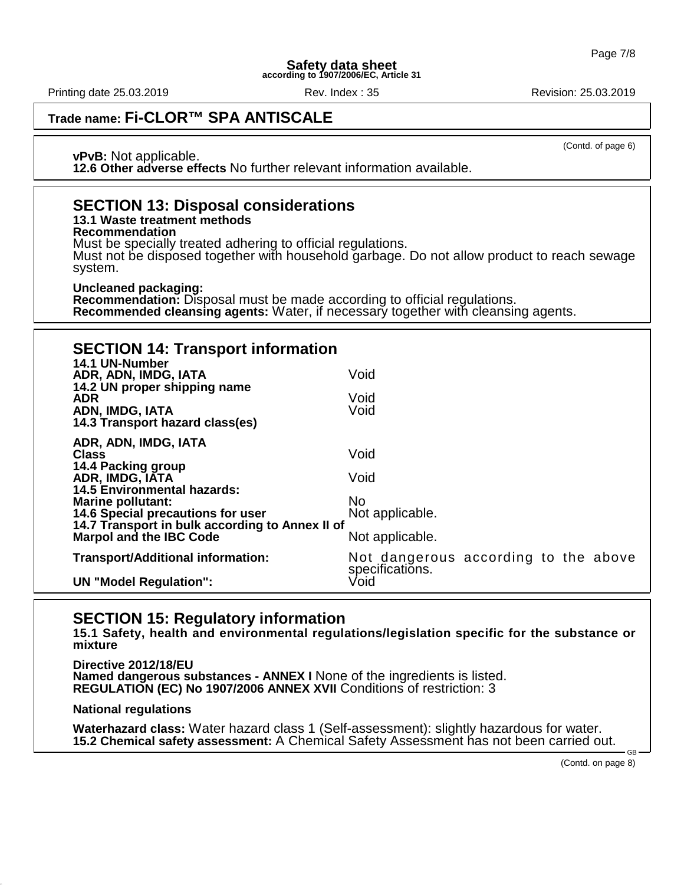Printing date 25.03.2019 **Rev. Index : 35 Revision: 25.03.2019** Revision: 25.03.2019

**Trade name: Fi-CLOR™ SPA ANTISCALE**

(Contd. of page 6)

**vPvB:** Not applicable. **12.6 Other adverse effects** No further relevant information available.

# **SECTION 13: Disposal considerations**

## **13.1 Waste treatment methods**

**Recommendation**

Must be specially treated adhering to official regulations.

Must not be disposed together with household garbage. Do not allow product to reach sewage system.

#### **Uncleaned packaging:**

**Recommendation:** Disposal must be made according to official regulations. **Recommended cleansing agents:** Water, if necessary together with cleansing agents.

| <b>SECTION 14: Transport information</b>                                          |                                                         |
|-----------------------------------------------------------------------------------|---------------------------------------------------------|
| 14.1 UN-Number<br>ADR, ADN, IMDG, IATA<br>14.2 UN proper shipping name            | Void                                                    |
| <b>ADR</b><br>ADN, IMDG, IATA                                                     | Void<br>Void                                            |
| 14.3 Transport hazard class(es)<br>ADR, ADN, IMDG, IATA                           |                                                         |
| <b>Class</b>                                                                      | Void                                                    |
| 14.4 Packing group<br>ADR, IMDG, IATA<br><b>14.5 Environmental hazards:</b>       | Void                                                    |
| <b>Marine pollutant:</b><br>14.6 Special precautions for user                     | No.<br>Not applicable.                                  |
| 14.7 Transport in bulk according to Annex II of<br><b>Marpol and the IBC Code</b> | Not applicable.                                         |
| <b>Transport/Additional information:</b>                                          | Not dangerous according to the above<br>specifications. |
| <b>UN "Model Regulation":</b>                                                     | Void                                                    |

## **SECTION 15: Regulatory information**

**15.1 Safety, health and environmental regulations/legislation specific for the substance or mixture**

**Directive 2012/18/EU Named dangerous substances - ANNEX I** None of the ingredients is listed. **REGULATION (EC) No 1907/2006 ANNEX XVII** Conditions of restriction: 3

**National regulations**

**Waterhazard class:** Water hazard class 1 (Self-assessment): slightly hazardous for water. **15.2 Chemical safety assessment:** A Chemical Safety Assessment has not been carried out.

(Contd. on page 8)

GB